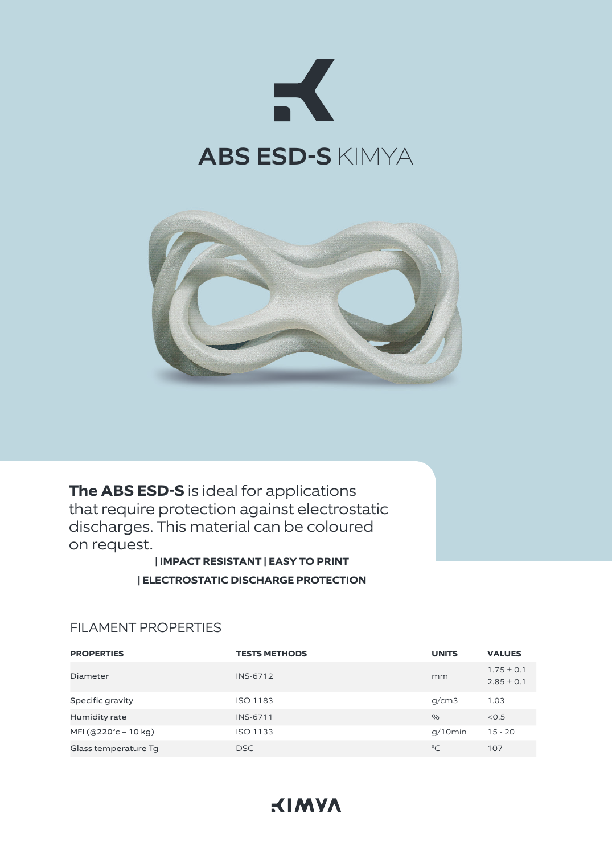



**The ABS ESD-S** is ideal for applications that require protection against electrostatic discharges. This material can be coloured on request.

> **| IMPACT RESISTANT | EASY TO PRINT | ELECTROSTATIC DISCHARGE PROTECTION**

| <b>PROPERTIES</b>               | <b>TESTS METHODS</b> | <b>UNITS</b>  | <b>VALUES</b>                    |
|---------------------------------|----------------------|---------------|----------------------------------|
| Diameter                        | <b>INS-6712</b>      | mm            | $1.75 \pm 0.1$<br>$2.85 \pm 0.1$ |
| Specific gravity                | <b>ISO 1183</b>      | g/cm3         | 1.03                             |
| Humidity rate                   | <b>INS-6711</b>      | $\frac{0}{0}$ | < 0.5                            |
| MFI (@220 $^{\circ}$ c – 10 kg) | <b>ISO 1133</b>      | $q/10$ min    | $15 - 20$                        |
| Glass temperature Tg            | <b>DSC</b>           | $^{\circ}$ C  | 107                              |

### FILAMENT PROPERTIES

# **KIMYA**